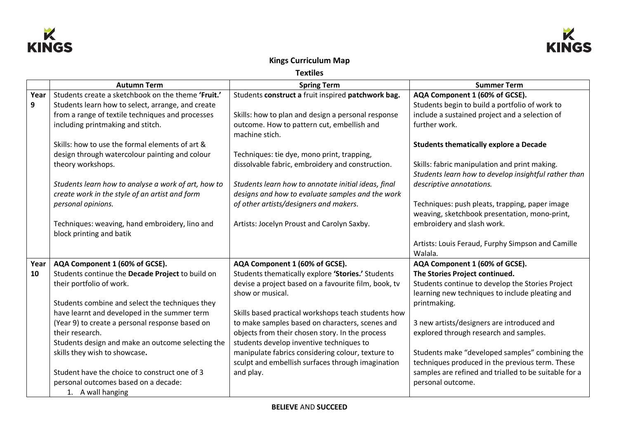



## **Kings Curriculum Map**

**Textiles** 

|      | <b>Autumn Term</b>                                  | <b>Spring Term</b>                                   | <b>Summer Term</b>                                    |
|------|-----------------------------------------------------|------------------------------------------------------|-------------------------------------------------------|
| Year | Students create a sketchbook on the theme 'Fruit.'  | Students construct a fruit inspired patchwork bag.   | AQA Component 1 (60% of GCSE).                        |
| 9    | Students learn how to select, arrange, and create   |                                                      | Students begin to build a portfolio of work to        |
|      | from a range of textile techniques and processes    | Skills: how to plan and design a personal response   | include a sustained project and a selection of        |
|      | including printmaking and stitch.                   | outcome. How to pattern cut, embellish and           | further work.                                         |
|      |                                                     | machine stich.                                       |                                                       |
|      | Skills: how to use the formal elements of art &     |                                                      | <b>Students thematically explore a Decade</b>         |
|      | design through watercolour painting and colour      | Techniques: tie dye, mono print, trapping,           |                                                       |
|      | theory workshops.                                   | dissolvable fabric, embroidery and construction.     | Skills: fabric manipulation and print making.         |
|      |                                                     |                                                      | Students learn how to develop insightful rather than  |
|      | Students learn how to analyse a work of art, how to | Students learn how to annotate initial ideas, final  | descriptive annotations.                              |
|      | create work in the style of an artist and form      | designs and how to evaluate samples and the work     |                                                       |
|      | personal opinions.                                  | of other artists/designers and makers.               | Techniques: push pleats, trapping, paper image        |
|      |                                                     |                                                      | weaving, sketchbook presentation, mono-print,         |
|      | Techniques: weaving, hand embroidery, lino and      | Artists: Jocelyn Proust and Carolyn Saxby.           | embroidery and slash work.                            |
|      | block printing and batik                            |                                                      |                                                       |
|      |                                                     |                                                      | Artists: Louis Feraud, Furphy Simpson and Camille     |
|      |                                                     |                                                      | Walala.                                               |
| Year | AQA Component 1 (60% of GCSE).                      | AQA Component 1 (60% of GCSE).                       | AQA Component 1 (60% of GCSE).                        |
| 10   | Students continue the Decade Project to build on    | Students thematically explore 'Stories.' Students    | The Stories Project continued.                        |
|      | their portfolio of work.                            | devise a project based on a favourite film, book, tv | Students continue to develop the Stories Project      |
|      |                                                     | show or musical.                                     | learning new techniques to include pleating and       |
|      | Students combine and select the techniques they     |                                                      | printmaking.                                          |
|      | have learnt and developed in the summer term        | Skills based practical workshops teach students how  |                                                       |
|      | (Year 9) to create a personal response based on     | to make samples based on characters, scenes and      | 3 new artists/designers are introduced and            |
|      | their research.                                     | objects from their chosen story. In the process      | explored through research and samples.                |
|      | Students design and make an outcome selecting the   | students develop inventive techniques to             |                                                       |
|      | skills they wish to showcase.                       | manipulate fabrics considering colour, texture to    | Students make "developed samples" combining the       |
|      |                                                     | sculpt and embellish surfaces through imagination    | techniques produced in the previous term. These       |
|      | Student have the choice to construct one of 3       | and play.                                            | samples are refined and trialled to be suitable for a |
|      | personal outcomes based on a decade:                |                                                      | personal outcome.                                     |
|      | 1. A wall hanging                                   |                                                      |                                                       |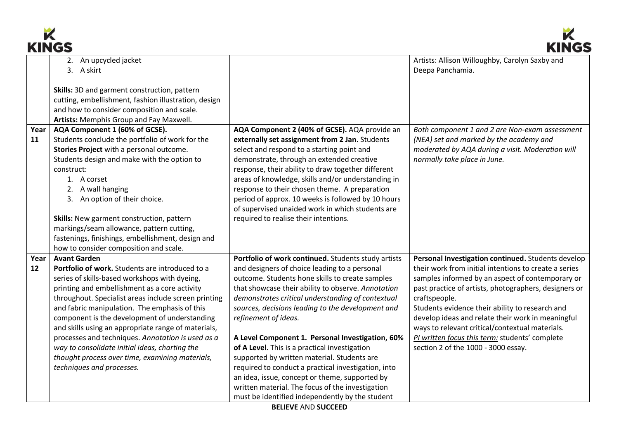



| INITUJ |                                                                                                          |                                                     | muve                                                                                                 |
|--------|----------------------------------------------------------------------------------------------------------|-----------------------------------------------------|------------------------------------------------------------------------------------------------------|
|        | 2. An upcycled jacket                                                                                    |                                                     | Artists: Allison Willoughby, Carolyn Saxby and                                                       |
|        | 3. A skirt                                                                                               |                                                     | Deepa Panchamia.                                                                                     |
|        | Skills: 3D and garment construction, pattern                                                             |                                                     |                                                                                                      |
|        | cutting, embellishment, fashion illustration, design                                                     |                                                     |                                                                                                      |
|        | and how to consider composition and scale.                                                               |                                                     |                                                                                                      |
|        | Artists: Memphis Group and Fay Maxwell.                                                                  |                                                     |                                                                                                      |
| Year   | AQA Component 1 (60% of GCSE).                                                                           | AQA Component 2 (40% of GCSE). AQA provide an       | Both component 1 and 2 are Non-exam assessment                                                       |
| 11     | Students conclude the portfolio of work for the                                                          | externally set assignment from 2 Jan. Students      | (NEA) set and marked by the academy and                                                              |
|        | Stories Project with a personal outcome.                                                                 | select and respond to a starting point and          | moderated by AQA during a visit. Moderation will                                                     |
|        | Students design and make with the option to                                                              | demonstrate, through an extended creative           | normally take place in June.                                                                         |
|        | construct:                                                                                               | response, their ability to draw together different  |                                                                                                      |
|        | 1. A corset                                                                                              | areas of knowledge, skills and/or understanding in  |                                                                                                      |
|        | A wall hanging                                                                                           | response to their chosen theme. A preparation       |                                                                                                      |
|        | 3. An option of their choice.                                                                            | period of approx. 10 weeks is followed by 10 hours  |                                                                                                      |
|        |                                                                                                          | of supervised unaided work in which students are    |                                                                                                      |
|        | Skills: New garment construction, pattern                                                                | required to realise their intentions.               |                                                                                                      |
|        | markings/seam allowance, pattern cutting,                                                                |                                                     |                                                                                                      |
|        | fastenings, finishings, embellishment, design and                                                        |                                                     |                                                                                                      |
|        | how to consider composition and scale.                                                                   |                                                     |                                                                                                      |
| Year   | <b>Avant Garden</b>                                                                                      | Portfolio of work continued. Students study artists | Personal Investigation continued. Students develop                                                   |
| 12     | Portfolio of work. Students are introduced to a                                                          | and designers of choice leading to a personal       | their work from initial intentions to create a series                                                |
|        | series of skills-based workshops with dyeing,                                                            | outcome. Students hone skills to create samples     | samples informed by an aspect of contemporary or                                                     |
|        | printing and embellishment as a core activity                                                            | that showcase their ability to observe. Annotation  | past practice of artists, photographers, designers or                                                |
|        | throughout. Specialist areas include screen printing                                                     | demonstrates critical understanding of contextual   | craftspeople.                                                                                        |
|        | and fabric manipulation. The emphasis of this                                                            | sources, decisions leading to the development and   | Students evidence their ability to research and                                                      |
|        | component is the development of understanding                                                            | refinement of ideas.                                | develop ideas and relate their work in meaningful<br>ways to relevant critical/contextual materials. |
|        | and skills using an appropriate range of materials,<br>processes and techniques. Annotation is used as a | A Level Component 1. Personal Investigation, 60%    | PI written focus this term: students' complete                                                       |
|        | way to consolidate initial ideas, charting the                                                           | of A Level. This is a practical investigation       | section 2 of the 1000 - 3000 essay.                                                                  |
|        | thought process over time, examining materials,                                                          | supported by written material. Students are         |                                                                                                      |
|        | techniques and processes.                                                                                | required to conduct a practical investigation, into |                                                                                                      |
|        |                                                                                                          | an idea, issue, concept or theme, supported by      |                                                                                                      |
|        |                                                                                                          | written material. The focus of the investigation    |                                                                                                      |
|        |                                                                                                          | must be identified independently by the student     |                                                                                                      |
|        |                                                                                                          |                                                     |                                                                                                      |